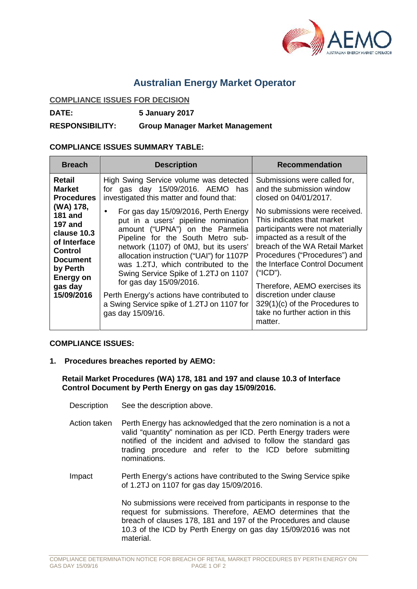

## **Australian Energy Market Operator**

## **COMPLIANCE ISSUES FOR DECISION**

**DATE: 5 January 2017**

**RESPONSIBILITY: Group Manager Market Management**

## **COMPLIANCE ISSUES SUMMARY TABLE:**

| <b>Breach</b>                                                                                                                                                              | <b>Description</b>                                                                                                                                                                                                                                                                                                                                                                                                                                                  | <b>Recommendation</b>                                                                                                                                                                                                                                                                                                                                                                        |
|----------------------------------------------------------------------------------------------------------------------------------------------------------------------------|---------------------------------------------------------------------------------------------------------------------------------------------------------------------------------------------------------------------------------------------------------------------------------------------------------------------------------------------------------------------------------------------------------------------------------------------------------------------|----------------------------------------------------------------------------------------------------------------------------------------------------------------------------------------------------------------------------------------------------------------------------------------------------------------------------------------------------------------------------------------------|
| Retail<br><b>Market</b><br><b>Procedures</b>                                                                                                                               | High Swing Service volume was detected<br>for gas day 15/09/2016. AEMO has<br>investigated this matter and found that:                                                                                                                                                                                                                                                                                                                                              | Submissions were called for,<br>and the submission window<br>closed on 04/01/2017.                                                                                                                                                                                                                                                                                                           |
| (WA) 178,<br><b>181 and</b><br><b>197 and</b><br>clause 10.3<br>of Interface<br><b>Control</b><br><b>Document</b><br>by Perth<br><b>Energy on</b><br>gas day<br>15/09/2016 | For gas day 15/09/2016, Perth Energy<br>put in a users' pipeline nomination<br>amount ("UPNA") on the Parmelia<br>Pipeline for the South Metro sub-<br>network (1107) of 0MJ, but its users'<br>allocation instruction ("UAI") for 1107P<br>was 1.2TJ, which contributed to the<br>Swing Service Spike of 1.2TJ on 1107<br>for gas day 15/09/2016.<br>Perth Energy's actions have contributed to<br>a Swing Service spike of 1.2TJ on 1107 for<br>gas day 15/09/16. | No submissions were received.<br>This indicates that market<br>participants were not materially<br>impacted as a result of the<br>breach of the WA Retail Market<br>Procedures ("Procedures") and<br>the Interface Control Document<br>("ICD").<br>Therefore, AEMO exercises its<br>discretion under clause<br>$329(1)(c)$ of the Procedures to<br>take no further action in this<br>matter. |

## **COMPLIANCE ISSUES:**

**1. Procedures breaches reported by AEMO:**

**Retail Market Procedures (WA) 178, 181 and 197 and clause 10.3 of Interface Control Document by Perth Energy on gas day 15/09/2016.**

- Description See the description above.
- Action taken Perth Energy has acknowledged that the zero nomination is a not a valid "quantity" nomination as per ICD. Perth Energy traders were notified of the incident and advised to follow the standard gas trading procedure and refer to the ICD before submitting nominations.
- Impact Perth Energy's actions have contributed to the Swing Service spike of 1.2TJ on 1107 for gas day 15/09/2016.

No submissions were received from participants in response to the request for submissions. Therefore, AEMO determines that the breach of clauses 178, 181 and 197 of the Procedures and clause 10.3 of the ICD by Perth Energy on gas day 15/09/2016 was not material.